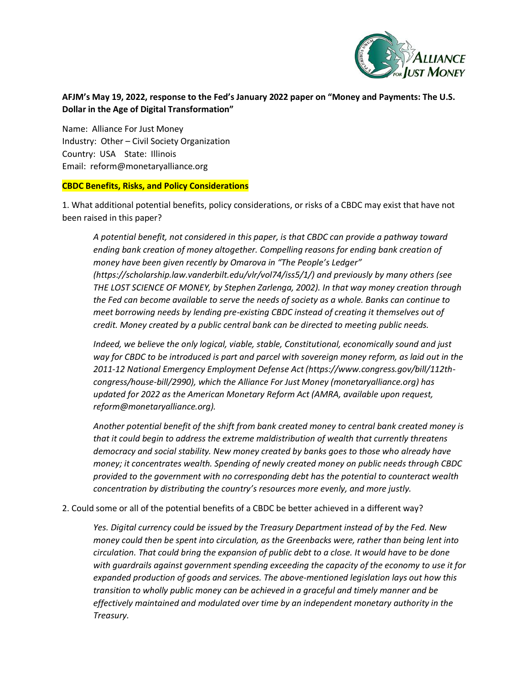

## **AFJM's May 19, 2022, response to the Fed's January 2022 paper on "Money and Payments: The U.S. Dollar in the Age of Digital Transformation"**

Name: Alliance For Just Money Industry: Other – Civil Society Organization Country: USA State: Illinois Email: reform@monetaryalliance.org

## **CBDC Benefits, Risks, and Policy Considerations**

1. What additional potential benefits, policy considerations, or risks of a CBDC may exist that have not been raised in this paper?

*A potential benefit, not considered in this paper, is that CBDC can provide a pathway toward ending bank creation of money altogether. Compelling reasons for ending bank creation of money have been given recently by Omarova in "The People's Ledger" (https://scholarship.law.vanderbilt.edu/vlr/vol74/iss5/1/) and previously by many others (see THE LOST SCIENCE OF MONEY, by Stephen Zarlenga, 2002). In that way money creation through the Fed can become available to serve the needs of society as a whole. Banks can continue to meet borrowing needs by lending pre-existing CBDC instead of creating it themselves out of credit. Money created by a public central bank can be directed to meeting public needs.* 

*Indeed, we believe the only logical, viable, stable, Constitutional, economically sound and just way for CBDC to be introduced is part and parcel with sovereign money reform, as laid out in the 2011-12 National Emergency Employment Defense Act (https://www.congress.gov/bill/112thcongress/house-bill/2990), which the Alliance For Just Money (monetaryalliance.org) has updated for 2022 as the American Monetary Reform Act (AMRA, available upon request, reform@monetaryalliance.org).* 

*Another potential benefit of the shift from bank created money to central bank created money is that it could begin to address the extreme maldistribution of wealth that currently threatens democracy and social stability. New money created by banks goes to those who already have money; it concentrates wealth. Spending of newly created money on public needs through CBDC provided to the government with no corresponding debt has the potential to counteract wealth concentration by distributing the country's resources more evenly, and more justly.* 

## 2. Could some or all of the potential benefits of a CBDC be better achieved in a different way?

*Yes. Digital currency could be issued by the Treasury Department instead of by the Fed. New money could then be spent into circulation, as the Greenbacks were, rather than being lent into circulation. That could bring the expansion of public debt to a close. It would have to be done with guardrails against government spending exceeding the capacity of the economy to use it for expanded production of goods and services. The above-mentioned legislation lays out how this transition to wholly public money can be achieved in a graceful and timely manner and be effectively maintained and modulated over time by an independent monetary authority in the Treasury.*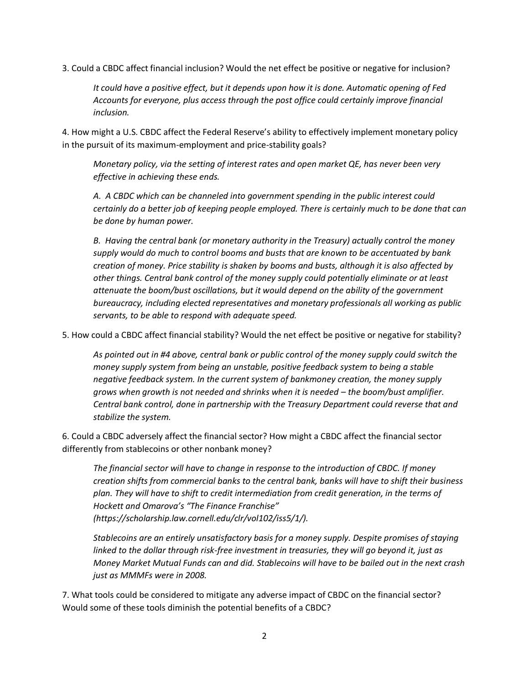3. Could a CBDC affect financial inclusion? Would the net effect be positive or negative for inclusion?

*It could have a positive effect, but it depends upon how it is done. Automatic opening of Fed Accounts for everyone, plus access through the post office could certainly improve financial inclusion.* 

4. How might a U.S. CBDC affect the Federal Reserve's ability to effectively implement monetary policy in the pursuit of its maximum-employment and price-stability goals?

*Monetary policy, via the setting of interest rates and open market QE, has never been very effective in achieving these ends.* 

*A. A CBDC which can be channeled into government spending in the public interest could certainly do a better job of keeping people employed. There is certainly much to be done that can be done by human power.* 

*B. Having the central bank (or monetary authority in the Treasury) actually control the money supply would do much to control booms and busts that are known to be accentuated by bank creation of money. Price stability is shaken by booms and busts, although it is also affected by other things. Central bank control of the money supply could potentially eliminate or at least attenuate the boom/bust oscillations, but it would depend on the ability of the government bureaucracy, including elected representatives and monetary professionals all working as public servants, to be able to respond with adequate speed.* 

5. How could a CBDC affect financial stability? Would the net effect be positive or negative for stability?

*As pointed out in #4 above, central bank or public control of the money supply could switch the money supply system from being an unstable, positive feedback system to being a stable negative feedback system. In the current system of bankmoney creation, the money supply grows when growth is not needed and shrinks when it is needed – the boom/bust amplifier. Central bank control, done in partnership with the Treasury Department could reverse that and stabilize the system.* 

6. Could a CBDC adversely affect the financial sector? How might a CBDC affect the financial sector differently from stablecoins or other nonbank money?

*The financial sector will have to change in response to the introduction of CBDC. If money creation shifts from commercial banks to the central bank, banks will have to shift their business plan. They will have to shift to credit intermediation from credit generation, in the terms of Hockett and Omarova's "The Finance Franchise" (https://scholarship.law.cornell.edu/clr/vol102/iss5/1/).* 

*Stablecoins are an entirely unsatisfactory basis for a money supply. Despite promises of staying linked to the dollar through risk-free investment in treasuries, they will go beyond it, just as Money Market Mutual Funds can and did. Stablecoins will have to be bailed out in the next crash just as MMMFs were in 2008.* 

7. What tools could be considered to mitigate any adverse impact of CBDC on the financial sector? Would some of these tools diminish the potential benefits of a CBDC?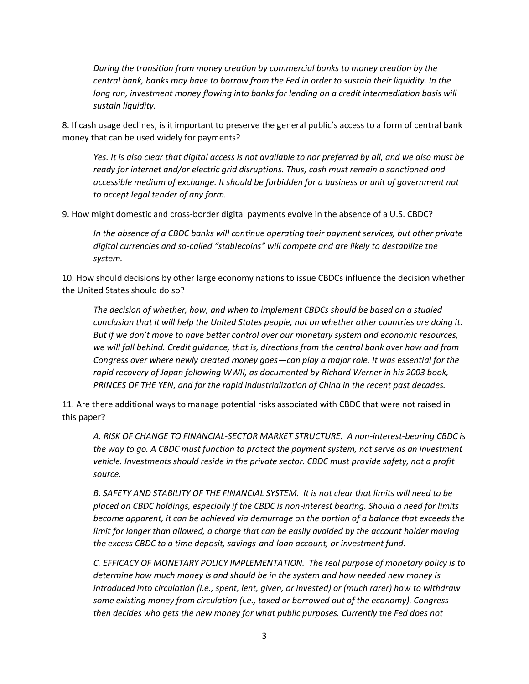*During the transition from money creation by commercial banks to money creation by the central bank, banks may have to borrow from the Fed in order to sustain their liquidity. In the*  long run, investment money flowing into banks for lending on a credit intermediation basis will *sustain liquidity.* 

8. If cash usage declines, is it important to preserve the general public's access to a form of central bank money that can be used widely for payments?

*Yes. It is also clear that digital access is not available to nor preferred by all, and we also must be ready for internet and/or electric grid disruptions. Thus, cash must remain a sanctioned and accessible medium of exchange. It should be forbidden for a business or unit of government not to accept legal tender of any form.* 

9. How might domestic and cross-border digital payments evolve in the absence of a U.S. CBDC?

*In the absence of a CBDC banks will continue operating their payment services, but other private digital currencies and so-called "stablecoins" will compete and are likely to destabilize the system.* 

10. How should decisions by other large economy nations to issue CBDCs influence the decision whether the United States should do so?

*The decision of whether, how, and when to implement CBDCs should be based on a studied conclusion that it will help the United States people, not on whether other countries are doing it. But if we don't move to have better control over our monetary system and economic resources, we will fall behind. Credit guidance, that is, directions from the central bank over how and from Congress over where newly created money goes—can play a major role. It was essential for the rapid recovery of Japan following WWII, as documented by Richard Werner in his 2003 book, PRINCES OF THE YEN, and for the rapid industrialization of China in the recent past decades.* 

11. Are there additional ways to manage potential risks associated with CBDC that were not raised in this paper?

*A. RISK OF CHANGE TO FINANCIAL-SECTOR MARKET STRUCTURE. A non-interest-bearing CBDC is the way to go. A CBDC must function to protect the payment system, not serve as an investment vehicle. Investments should reside in the private sector. CBDC must provide safety, not a profit source.* 

*B. SAFETY AND STABILITY OF THE FINANCIAL SYSTEM. It is not clear that limits will need to be placed on CBDC holdings, especially if the CBDC is non-interest bearing. Should a need for limits become apparent, it can be achieved via demurrage on the portion of a balance that exceeds the limit for longer than allowed, a charge that can be easily avoided by the account holder moving the excess CBDC to a time deposit, savings-and-loan account, or investment fund.* 

*C. EFFICACY OF MONETARY POLICY IMPLEMENTATION. The real purpose of monetary policy is to determine how much money is and should be in the system and how needed new money is introduced into circulation (i.e., spent, lent, given, or invested) or (much rarer) how to withdraw some existing money from circulation (i.e., taxed or borrowed out of the economy). Congress then decides who gets the new money for what public purposes. Currently the Fed does not*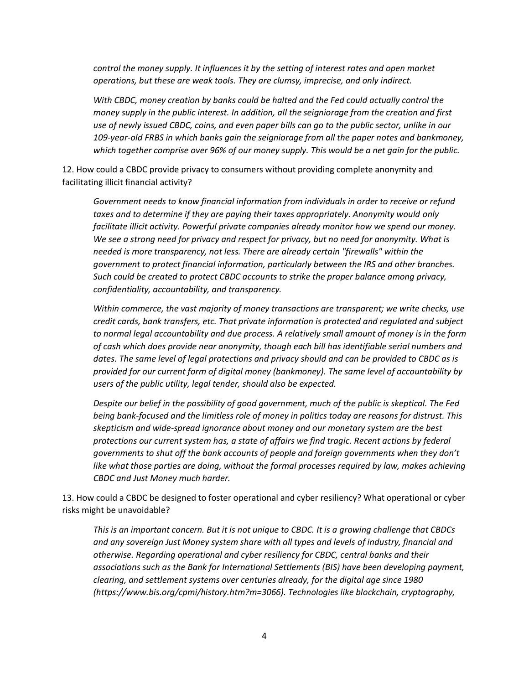*control the money supply. It influences it by the setting of interest rates and open market operations, but these are weak tools. They are clumsy, imprecise, and only indirect.* 

*With CBDC, money creation by banks could be halted and the Fed could actually control the money supply in the public interest. In addition, all the seigniorage from the creation and first use of newly issued CBDC, coins, and even paper bills can go to the public sector, unlike in our 109-year-old FRBS in which banks gain the seigniorage from all the paper notes and bankmoney, which together comprise over 96% of our money supply. This would be a net gain for the public.* 

12. How could a CBDC provide privacy to consumers without providing complete anonymity and facilitating illicit financial activity?

*Government needs to know financial information from individuals in order to receive or refund*  taxes and to determine if they are paying their taxes appropriately. Anonymity would only *facilitate illicit activity. Powerful private companies already monitor how we spend our money. We see a strong need for privacy and respect for privacy, but no need for anonymity. What is needed is more transparency, not less. There are already certain "firewalls" within the government to protect financial information, particularly between the IRS and other branches. Such could be created to protect CBDC accounts to strike the proper balance among privacy, confidentiality, accountability, and transparency.* 

*Within commerce, the vast majority of money transactions are transparent; we write checks, use credit cards, bank transfers, etc. That private information is protected and regulated and subject to normal legal accountability and due process. A relatively small amount of money is in the form of cash which does provide near anonymity, though each bill has identifiable serial numbers and dates. The same level of legal protections and privacy should and can be provided to CBDC as is provided for our current form of digital money (bankmoney). The same level of accountability by users of the public utility, legal tender, should also be expected.* 

*Despite our belief in the possibility of good government, much of the public is skeptical. The Fed being bank-focused and the limitless role of money in politics today are reasons for distrust. This skepticism and wide-spread ignorance about money and our monetary system are the best protections our current system has, a state of affairs we find tragic. Recent actions by federal governments to shut off the bank accounts of people and foreign governments when they don't*  like what those parties are doing, without the formal processes required by law, makes achieving *CBDC and Just Money much harder.* 

13. How could a CBDC be designed to foster operational and cyber resiliency? What operational or cyber risks might be unavoidable?

*This is an important concern. But it is not unique to CBDC. It is a growing challenge that CBDCs and any sovereign Just Money system share with all types and levels of industry, financial and otherwise. Regarding operational and cyber resiliency for CBDC, central banks and their associations such as the Bank for International Settlements (BIS) have been developing payment, clearing, and settlement systems over centuries already, for the digital age since 1980 (https://www.bis.org/cpmi/history.htm?m=3066). Technologies like blockchain, cryptography,*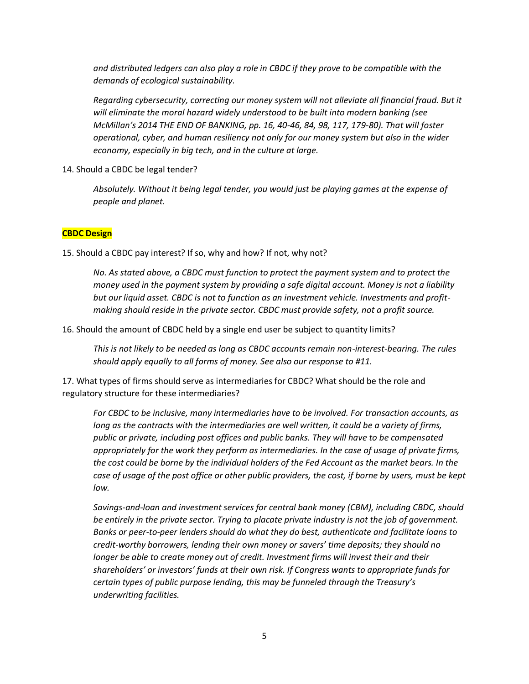*and distributed ledgers can also play a role in CBDC if they prove to be compatible with the demands of ecological sustainability.* 

*Regarding cybersecurity, correcting our money system will not alleviate all financial fraud. But it will eliminate the moral hazard widely understood to be built into modern banking (see McMillan's 2014 THE END OF BANKING, pp. 16, 40-46, 84, 98, 117, 179-80). That will foster operational, cyber, and human resiliency not only for our money system but also in the wider economy, especially in big tech, and in the culture at large.* 

14. Should a CBDC be legal tender?

*Absolutely. Without it being legal tender, you would just be playing games at the expense of people and planet.* 

## **CBDC Design**

15. Should a CBDC pay interest? If so, why and how? If not, why not?

*No. As stated above, a CBDC must function to protect the payment system and to protect the money used in the payment system by providing a safe digital account. Money is not a liability but our liquid asset. CBDC is not to function as an investment vehicle. Investments and profitmaking should reside in the private sector. CBDC must provide safety, not a profit source.* 

16. Should the amount of CBDC held by a single end user be subject to quantity limits?

*This is not likely to be needed as long as CBDC accounts remain non-interest-bearing. The rules should apply equally to all forms of money. See also our response to #11.* 

17. What types of firms should serve as intermediaries for CBDC? What should be the role and regulatory structure for these intermediaries?

*For CBDC to be inclusive, many intermediaries have to be involved. For transaction accounts, as long as the contracts with the intermediaries are well written, it could be a variety of firms, public or private, including post offices and public banks. They will have to be compensated appropriately for the work they perform as intermediaries. In the case of usage of private firms, the cost could be borne by the individual holders of the Fed Account as the market bears. In the case of usage of the post office or other public providers, the cost, if borne by users, must be kept low.* 

*Savings-and-loan and investment services for central bank money (CBM), including CBDC, should be entirely in the private sector. Trying to placate private industry is not the job of government. Banks or peer-to-peer lenders should do what they do best, authenticate and facilitate loans to credit-worthy borrowers, lending their own money or savers' time deposits; they should no longer be able to create money out of credit. Investment firms will invest their and their shareholders' or investors' funds at their own risk. If Congress wants to appropriate funds for certain types of public purpose lending, this may be funneled through the Treasury's underwriting facilities.*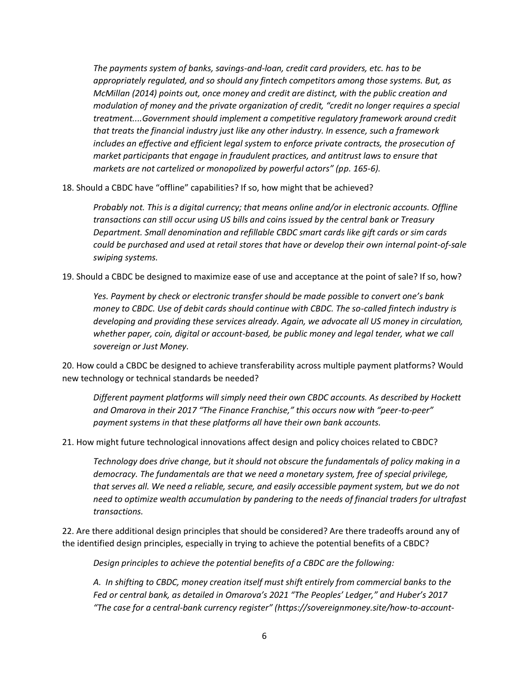*The payments system of banks, savings-and-loan, credit card providers, etc. has to be appropriately regulated, and so should any fintech competitors among those systems. But, as McMillan (2014) points out, once money and credit are distinct, with the public creation and modulation of money and the private organization of credit, "credit no longer requires a special treatment....Government should implement a competitive regulatory framework around credit that treats the financial industry just like any other industry. In essence, such a framework includes an effective and efficient legal system to enforce private contracts, the prosecution of market participants that engage in fraudulent practices, and antitrust laws to ensure that markets are not cartelized or monopolized by powerful actors" (pp. 165-6).* 

18. Should a CBDC have "offline" capabilities? If so, how might that be achieved?

*Probably not. This is a digital currency; that means online and/or in electronic accounts. Offline transactions can still occur using US bills and coins issued by the central bank or Treasury Department. Small denomination and refillable CBDC smart cards like gift cards or sim cards could be purchased and used at retail stores that have or develop their own internal point-of-sale swiping systems.* 

19. Should a CBDC be designed to maximize ease of use and acceptance at the point of sale? If so, how?

*Yes. Payment by check or electronic transfer should be made possible to convert one's bank money to CBDC. Use of debit cards should continue with CBDC. The so-called fintech industry is developing and providing these services already. Again, we advocate all US money in circulation,*  whether paper, coin, digital or account-based, be public money and legal tender, what we call *sovereign or Just Money.* 

20. How could a CBDC be designed to achieve transferability across multiple payment platforms? Would new technology or technical standards be needed?

*Different payment platforms will simply need their own CBDC accounts. As described by Hockett and Omarova in their 2017 "The Finance Franchise," this occurs now with "peer-to-peer" payment systems in that these platforms all have their own bank accounts.* 

21. How might future technological innovations affect design and policy choices related to CBDC?

*Technology does drive change, but it should not obscure the fundamentals of policy making in a democracy. The fundamentals are that we need a monetary system, free of special privilege, that serves all. We need a reliable, secure, and easily accessible payment system, but we do not need to optimize wealth accumulation by pandering to the needs of financial traders for ultrafast transactions.* 

22. Are there additional design principles that should be considered? Are there tradeoffs around any of the identified design principles, especially in trying to achieve the potential benefits of a CBDC?

*Design principles to achieve the potential benefits of a CBDC are the following:* 

*A. In shifting to CBDC, money creation itself must shift entirely from commercial banks to the Fed or central bank, as detailed in Omarova's 2021 "The Peoples' Ledger," and Huber's 2017 "The case for a central-bank currency register" (https://sovereignmoney.site/how-to-account-*